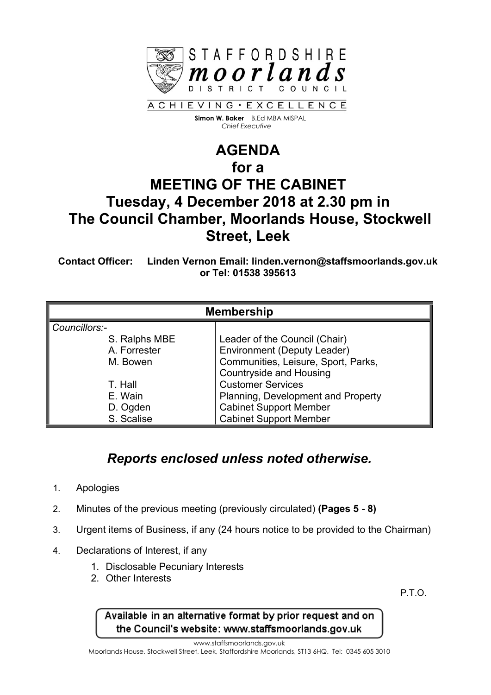

 **Simon W. Baker** B.Ed MBA MISPAL  *Chief Executive*

# **AGENDA for a MEETING OF THE CABINET Tuesday, 4 December 2018 at 2.30 pm in The Council Chamber, Moorlands House, Stockwell Street, Leek**

**Contact Officer: Linden Vernon Email: linden.vernon@staffsmoorlands.gov.uk or Tel: 01538 395613**

| <b>Membership</b> |                                     |
|-------------------|-------------------------------------|
| Councillors:-     |                                     |
| S. Ralphs MBE     | Leader of the Council (Chair)       |
| A. Forrester      | <b>Environment (Deputy Leader)</b>  |
| M. Bowen          | Communities, Leisure, Sport, Parks, |
|                   | <b>Countryside and Housing</b>      |
| T. Hall           | <b>Customer Services</b>            |
| E. Wain           | Planning, Development and Property  |
| D. Ogden          | <b>Cabinet Support Member</b>       |
| S. Scalise        | <b>Cabinet Support Member</b>       |

# *Reports enclosed unless noted otherwise.*

- 1. Apologies
- 2. Minutes of the previous meeting (previously circulated) **(Pages 5 - 8)**
- 3. Urgent items of Business, if any (24 hours notice to be provided to the Chairman)
- 4. Declarations of Interest, if any
	- 1. Disclosable Pecuniary Interests
	- 2. Other Interests

P.T.O.

Available in an alternative format by prior request and on the Council's website: www.staffsmoorlands.gov.uk

www.staffsmoorlands.gov.uk

Moorlands House, Stockwell Street, Leek, Staffordshire Moorlands, ST13 6HQ. Tel: 0345 605 3010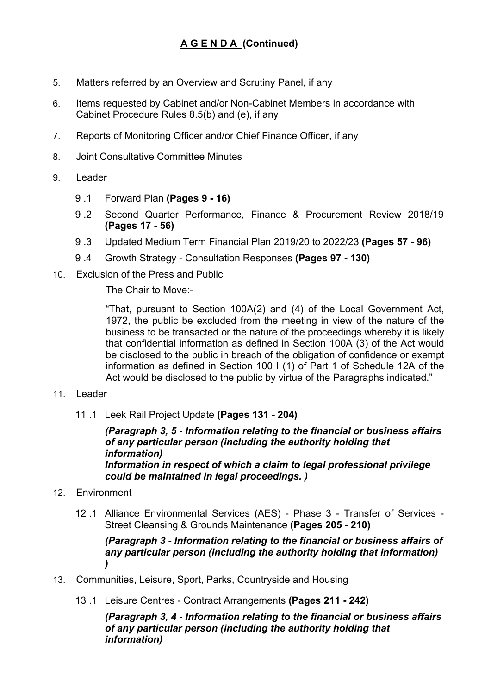- 5. Matters referred by an Overview and Scrutiny Panel, if any
- 6. Items requested by Cabinet and/or Non-Cabinet Members in accordance with Cabinet Procedure Rules 8.5(b) and (e), if any
- 7. Reports of Monitoring Officer and/or Chief Finance Officer, if any
- 8. Joint Consultative Committee Minutes
- 9. Leader
	- 9 .1 Forward Plan **(Pages 9 - 16)**
	- 9 .2 Second Quarter Performance, Finance & Procurement Review 2018/19 **(Pages 17 - 56)**
	- 9 .3 Updated Medium Term Financial Plan 2019/20 to 2022/23 **(Pages 57 - 96)**
	- 9 .4 Growth Strategy Consultation Responses **(Pages 97 - 130)**
- 10. Exclusion of the Press and Public

The Chair to Move:-

"That, pursuant to Section 100A(2) and (4) of the Local Government Act, 1972, the public be excluded from the meeting in view of the nature of the business to be transacted or the nature of the proceedings whereby it is likely that confidential information as defined in Section 100A (3) of the Act would be disclosed to the public in breach of the obligation of confidence or exempt information as defined in Section 100 I (1) of Part 1 of Schedule 12A of the Act would be disclosed to the public by virtue of the Paragraphs indicated."

#### 11. Leader

11 .1 Leek Rail Project Update **(Pages 131 - 204)**

*(Paragraph 3, 5 - Information relating to the financial or business affairs of any particular person (including the authority holding that information) Information in respect of which a claim to legal professional privilege could be maintained in legal proceedings. )*

### 12. Environment

12 .1 Alliance Environmental Services (AES) - Phase 3 - Transfer of Services - Street Cleansing & Grounds Maintenance **(Pages 205 - 210)**

#### *(Paragraph 3 - Information relating to the financial or business affairs of any particular person (including the authority holding that information) )*

- 13. Communities, Leisure, Sport, Parks, Countryside and Housing
	- 13 .1 Leisure Centres Contract Arrangements **(Pages 211 - 242)**

*(Paragraph 3, 4 - Information relating to the financial or business affairs of any particular person (including the authority holding that information)*